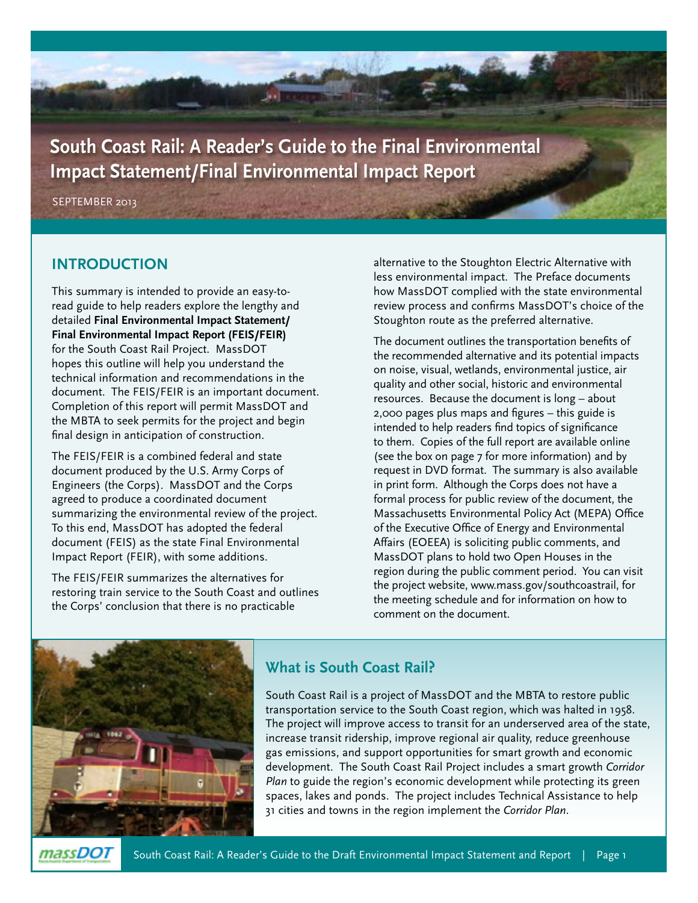**South Coast Rail: A Reader's Guide to the Final Environmental Impact Statement/Final Environmental Impact Report** 

SEPTEMBER 2013

#### **INTRODUCTION**

This summary is intended to provide an easy-toread guide to help readers explore the lengthy and detailed **Final Environmental Impact Statement/ Final Environmental Impact Report (FEIS/FEIR)** for the South Coast Rail Project. MassDOT hopes this outline will help you understand the technical information and recommendations in the document. The FEIS/FEIR is an important document. Completion of this report will permit MassDOT and the MBTA to seek permits for the project and begin final design in anticipation of construction.

The FEIS/FEIR is a combined federal and state document produced by the U.S. Army Corps of Engineers (the Corps). MassDOT and the Corps agreed to produce a coordinated document summarizing the environmental review of the project. To this end, MassDOT has adopted the federal document (FEIS) as the state Final Environmental Impact Report (FEIR), with some additions.

The FEIS/FEIR summarizes the alternatives for restoring train service to the South Coast and outlines the Corps' conclusion that there is no practicable

alternative to the Stoughton Electric Alternative with less environmental impact. The Preface documents how MassDOT complied with the state environmental review process and confirms MassDOT's choice of the Stoughton route as the preferred alternative.

The document outlines the transportation benefits of the recommended alternative and its potential impacts on noise, visual, wetlands, environmental justice, air quality and other social, historic and environmental resources. Because the document is long – about 2,000 pages plus maps and figures – this guide is intended to help readers find topics of significance to them. Copies of the full report are available online (see the box on page 7 for more information) and by request in DVD format. The summary is also available in print form. Although the Corps does not have a formal process for public review of the document, the Massachusetts Environmental Policy Act (MEPA) Office of the Executive Office of Energy and Environmental Affairs (EOEEA) is soliciting public comments, and MassDOT plans to hold two Open Houses in the region during the public comment period. You can visit the project website, www.mass.gov/southcoastrail, for the meeting schedule and for information on how to comment on the document.



# **What is South Coast Rail?**

South Coast Rail is a project of MassDOT and the MBTA to restore public transportation service to the South Coast region, which was halted in 1958. The project will improve access to transit for an underserved area of the state, increase transit ridership, improve regional air quality, reduce greenhouse gas emissions, and support opportunities for smart growth and economic development. The South Coast Rail Project includes a smart growth *Corridor Plan* to guide the region's economic development while protecting its green spaces, lakes and ponds. The project includes Technical Assistance to help 31 cities and towns in the region implement the *Corridor Plan*.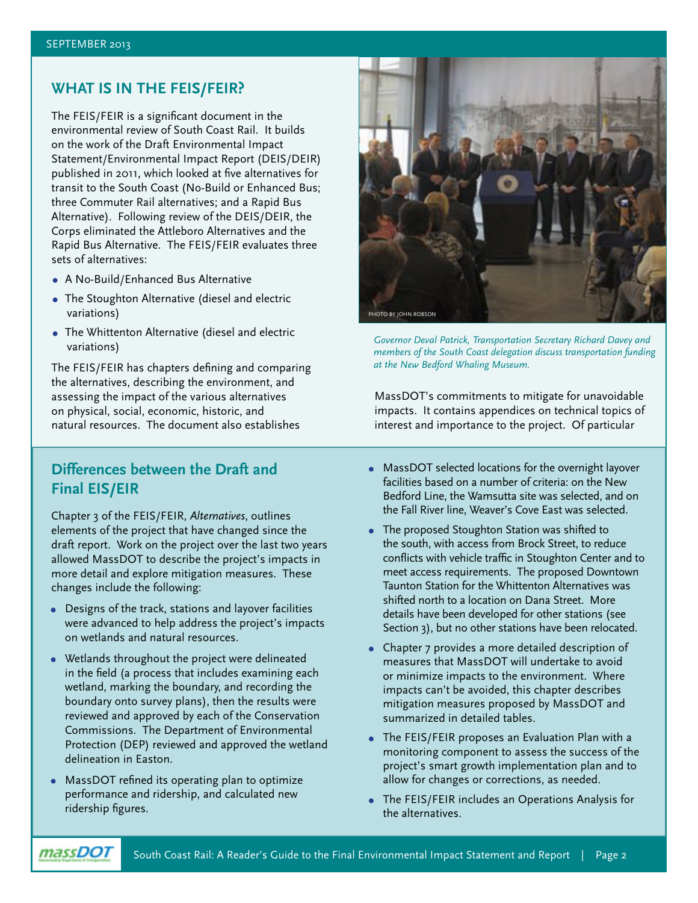# **WHAT IS IN THE FEIS/FEIR?**

The FEIS/FEIR is a significant document in the environmental review of South Coast Rail. It builds on the work of the Draft Environmental Impact Statement/Environmental Impact Report (DEIS/DEIR) published in 2011, which looked at five alternatives for transit to the South Coast (No-Build or Enhanced Bus; three Commuter Rail alternatives; and a Rapid Bus Alternative). Following review of the DEIS/DEIR, the Corps eliminated the Attleboro Alternatives and the Rapid Bus Alternative. The FEIS/FEIR evaluates three sets of alternatives:

- **•** A No-Build/Enhanced Bus Alternative
- **•** The Stoughton Alternative (diesel and electric variations)
- **•** The Whittenton Alternative (diesel and electric variations)

The FEIS/FEIR has chapters defining and comparing the alternatives, describing the environment, and assessing the impact of the various alternatives on physical, social, economic, historic, and natural resources. The document also establishes

## **Differences between the Draft and Final EIS/EIR**

Chapter 3 of the FEIS/FEIR, *Alternatives*, outlines elements of the project that have changed since the draft report. Work on the project over the last two years allowed MassDOT to describe the project's impacts in more detail and explore mitigation measures. These changes include the following:

- **•** Designs of the track, stations and layover facilities were advanced to help address the project's impacts on wetlands and natural resources.
- **•** Wetlands throughout the project were delineated in the field (a process that includes examining each wetland, marking the boundary, and recording the boundary onto survey plans), then the results were reviewed and approved by each of the Conservation Commissions. The Department of Environmental Protection (DEP) reviewed and approved the wetland delineation in Easton.
- **•** MassDOT refined its operating plan to optimize performance and ridership, and calculated new ridership figures.



*Governor Deval Patrick, Transportation Secretary Richard Davey and members of the South Coast delegation discuss transportation funding at the New Bedford Whaling Museum.* 

MassDOT's commitments to mitigate for unavoidable impacts. It contains appendices on technical topics of interest and importance to the project. Of particular

- **•** MassDOT selected locations for the overnight layover facilities based on a number of criteria: on the New Bedford Line, the Wamsutta site was selected, and on the Fall River line, Weaver's Cove East was selected.
- **•** The proposed Stoughton Station was shifted to the south, with access from Brock Street, to reduce conflicts with vehicle traffic in Stoughton Center and to meet access requirements. The proposed Downtown Taunton Station for the Whittenton Alternatives was shifted north to a location on Dana Street. More details have been developed for other stations (see Section 3), but no other stations have been relocated.
- **•** Chapter 7 provides a more detailed description of measures that MassDOT will undertake to avoid or minimize impacts to the environment. Where impacts can't be avoided, this chapter describes mitigation measures proposed by MassDOT and summarized in detailed tables.
- **•** The FEIS/FEIR proposes an Evaluation Plan with a monitoring component to assess the success of the project's smart growth implementation plan and to allow for changes or corrections, as needed.
- **•** The FEIS/FEIR includes an Operations Analysis for the alternatives.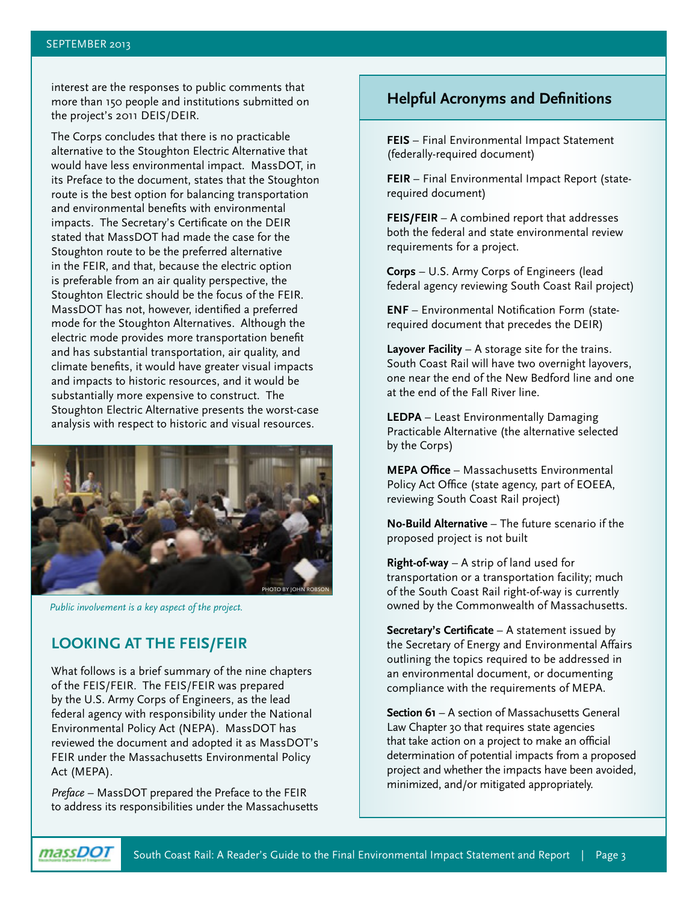interest are the responses to public comments that more than 150 people and institutions submitted on the project's 2011 DEIS/DEIR.

The Corps concludes that there is no practicable alternative to the Stoughton Electric Alternative that would have less environmental impact. MassDOT, in its Preface to the document, states that the Stoughton route is the best option for balancing transportation and environmental benefits with environmental impacts. The Secretary's Certificate on the DEIR stated that MassDOT had made the case for the Stoughton route to be the preferred alternative in the FEIR, and that, because the electric option is preferable from an air quality perspective, the Stoughton Electric should be the focus of the FEIR. MassDOT has not, however, identified a preferred mode for the Stoughton Alternatives. Although the electric mode provides more transportation benefit and has substantial transportation, air quality, and climate benefits, it would have greater visual impacts and impacts to historic resources, and it would be substantially more expensive to construct. The Stoughton Electric Alternative presents the worst-case analysis with respect to historic and visual resources.



*Public involvement is a key aspect of the project.*

# **LOOKING AT THE FEIS/FEIR**

What follows is a brief summary of the nine chapters of the FEIS/FEIR. The FEIS/FEIR was prepared by the U.S. Army Corps of Engineers, as the lead federal agency with responsibility under the National Environmental Policy Act (NEPA). MassDOT has reviewed the document and adopted it as MassDOT's FEIR under the Massachusetts Environmental Policy Act (MEPA).

*Preface* – MassDOT prepared the Preface to the FEIR to address its responsibilities under the Massachusetts

# **Helpful Acronyms and Definitions**

**FEIS** – Final Environmental Impact Statement (federally-required document)

**FEIR** – Final Environmental Impact Report (staterequired document)

**FEIS/FEIR** – A combined report that addresses both the federal and state environmental review requirements for a project.

**Corps** – U.S. Army Corps of Engineers (lead federal agency reviewing South Coast Rail project)

**ENF** – Environmental Notification Form (staterequired document that precedes the DEIR)

**Layover Facility** – A storage site for the trains. South Coast Rail will have two overnight layovers, one near the end of the New Bedford line and one at the end of the Fall River line.

**LEDPA** – Least Environmentally Damaging Practicable Alternative (the alternative selected by the Corps)

**MEPA Office** – Massachusetts Environmental Policy Act Office (state agency, part of EOEEA, reviewing South Coast Rail project)

**No-Build Alternative** – The future scenario if the proposed project is not built

**Right-of-way** – A strip of land used for transportation or a transportation facility; much of the South Coast Rail right-of-way is currently owned by the Commonwealth of Massachusetts.

**Secretary's Certificate** – A statement issued by the Secretary of Energy and Environmental Affairs outlining the topics required to be addressed in an environmental document, or documenting compliance with the requirements of MEPA.

**Section 61** – A section of Massachusetts General Law Chapter 30 that requires state agencies that take action on a project to make an official determination of potential impacts from a proposed project and whether the impacts have been avoided, minimized, and/or mitigated appropriately.

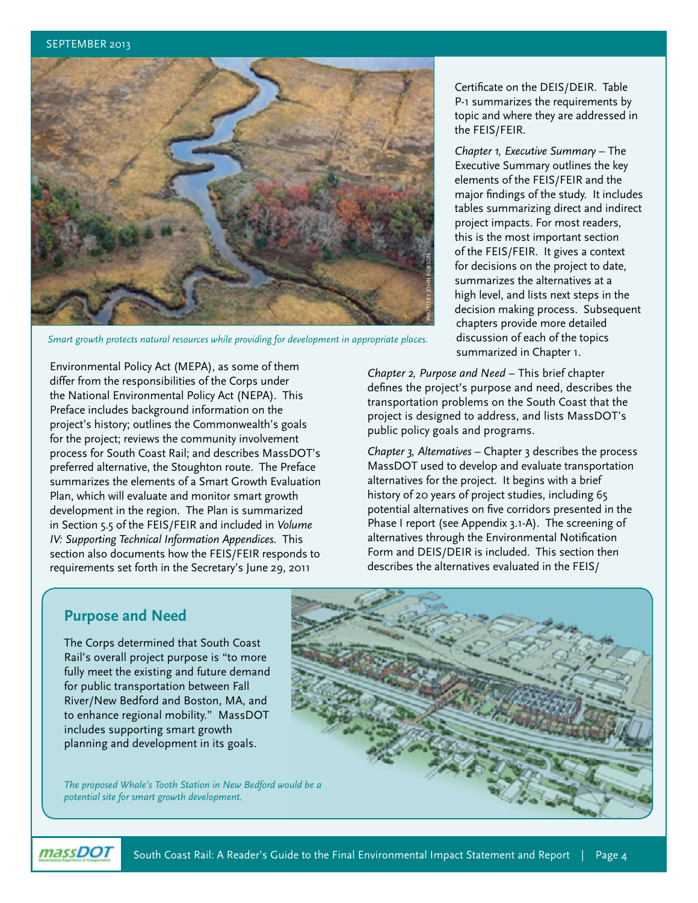

*Smart growth protects natural resources while providing for development in appropriate places.* 

Environmental Policy Act (MEPA), as some of them differ from the responsibilities of the Corps under the National Environmental Policy Act (NEPA). This Preface includes background information on the project's history; outlines the Commonwealth's goals for the project; reviews the community involvement process for South Coast Rail; and describes MassDOT's preferred alternative, the Stoughton route. The Preface summarizes the elements of a Smart Growth Evaluation Plan, which will evaluate and monitor smart growth development in the region. The Plan is summarized in Section 5.5 of the FEIS/FEIR and included in *Volume IV: Supporting Technical Information Appendices*. This section also documents how the FEIS/FEIR responds to requirements set forth in the Secretary's June 29, 2011

Certificate on the DEIS/DEIR. Table P-1 summarizes the requirements by topic and where they are addressed in the FEIS/FEIR.

*Chapter 1, Executive Summary* – The Executive Summary outlines the key elements of the FEIS/FEIR and the major findings of the study. It includes tables summarizing direct and indirect project impacts. For most readers, this is the most important section of the FEIS/FEIR. It gives a context for decisions on the project to date, summarizes the alternatives at a high level, and lists next steps in the decision making process. Subsequent chapters provide more detailed discussion of each of the topics summarized in Chapter 1.

*Chapter 2, Purpose and Need* – This brief chapter defines the project's purpose and need, describes the transportation problems on the South Coast that the project is designed to address, and lists MassDOT's public policy goals and programs.

*Chapter 3, Alternatives* – Chapter 3 describes the process MassDOT used to develop and evaluate transportation alternatives for the project. It begins with a brief history of 20 years of project studies, including 65 potential alternatives on five corridors presented in the Phase I report (see Appendix 3.1-A). The screening of alternatives through the Environmental Notification Form and DEIS/DEIR is included. This section then describes the alternatives evaluated in the FEIS/

## **Purpose and Need**

The Corps determined that South Coast Rail's overall project purpose is "to more fully meet the existing and future demand for public transportation between Fall River/New Bedford and Boston, MA, and to enhance regional mobility." MassDOT includes supporting smart growth planning and development in its goals.

*The proposed Whale's Tooth Station in New Bedford would be a potential site for smart growth development.*



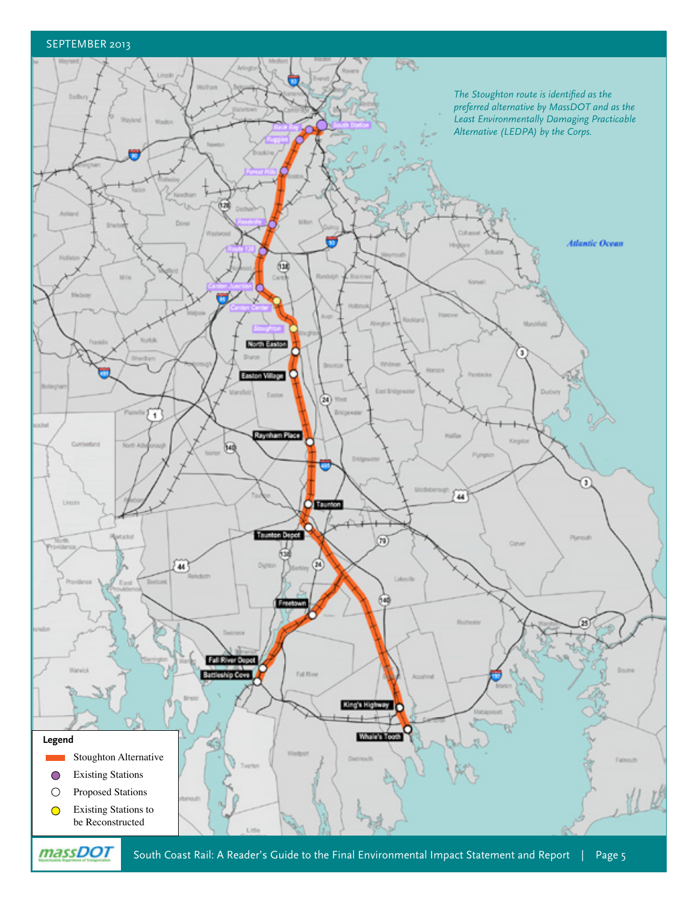#### SEPTEMBER 2013

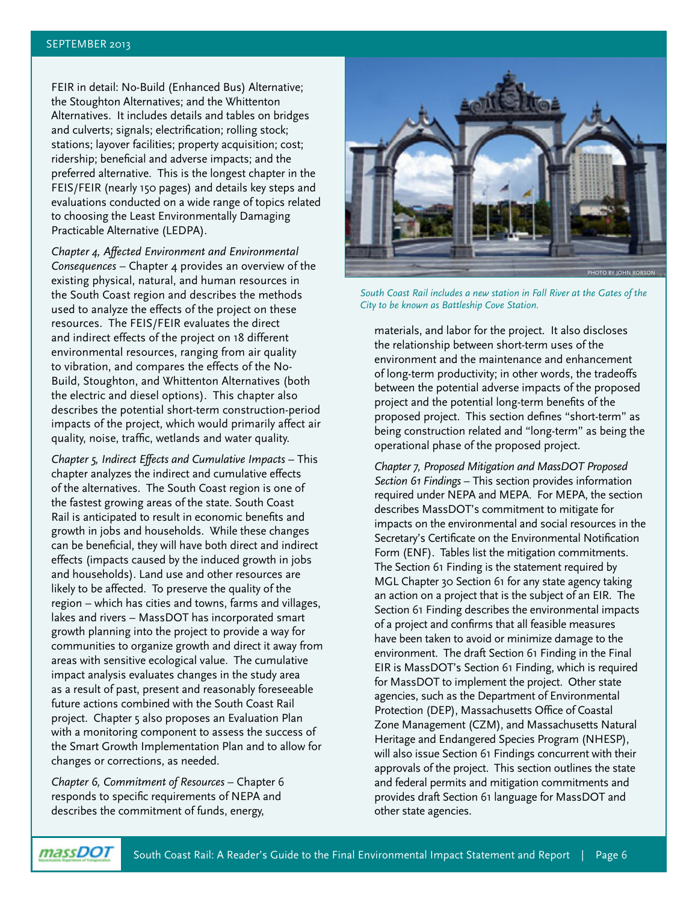FEIR in detail: No-Build (Enhanced Bus) Alternative; the Stoughton Alternatives; and the Whittenton Alternatives. It includes details and tables on bridges and culverts; signals; electrification; rolling stock; stations; layover facilities; property acquisition; cost; ridership; beneficial and adverse impacts; and the preferred alternative. This is the longest chapter in the FEIS/FEIR (nearly 150 pages) and details key steps and evaluations conducted on a wide range of topics related to choosing the Least Environmentally Damaging Practicable Alternative (LEDPA).

*Chapter 4, Affected Environment and Environmental Consequences* – Chapter 4 provides an overview of the existing physical, natural, and human resources in the South Coast region and describes the methods used to analyze the effects of the project on these resources. The FEIS/FEIR evaluates the direct and indirect effects of the project on 18 different environmental resources, ranging from air quality to vibration, and compares the effects of the No-Build, Stoughton, and Whittenton Alternatives (both the electric and diesel options). This chapter also describes the potential short-term construction-period impacts of the project, which would primarily affect air quality, noise, traffic, wetlands and water quality.

*Chapter 5, Indirect Effects and Cumulative Impacts* – This chapter analyzes the indirect and cumulative effects of the alternatives. The South Coast region is one of the fastest growing areas of the state. South Coast Rail is anticipated to result in economic benefits and growth in jobs and households. While these changes can be beneficial, they will have both direct and indirect effects (impacts caused by the induced growth in jobs and households). Land use and other resources are likely to be affected. To preserve the quality of the region – which has cities and towns, farms and villages, lakes and rivers – MassDOT has incorporated smart growth planning into the project to provide a way for communities to organize growth and direct it away from areas with sensitive ecological value. The cumulative impact analysis evaluates changes in the study area as a result of past, present and reasonably foreseeable future actions combined with the South Coast Rail project. Chapter 5 also proposes an Evaluation Plan with a monitoring component to assess the success of the Smart Growth Implementation Plan and to allow for changes or corrections, as needed.

*Chapter 6, Commitment of Resources –* Chapter 6 responds to specific requirements of NEPA and describes the commitment of funds, energy,



*South Coast Rail includes a new station in Fall River at the Gates of the City to be known as Battleship Cove Station.*

materials, and labor for the project. It also discloses the relationship between short-term uses of the environment and the maintenance and enhancement of long-term productivity; in other words, the tradeoffs between the potential adverse impacts of the proposed project and the potential long-term benefits of the proposed project. This section defines "short-term" as being construction related and "long-term" as being the operational phase of the proposed project.

*Chapter 7, Proposed Mitigation and MassDOT Proposed Section 61 Findings* – This section provides information required under NEPA and MEPA. For MEPA, the section describes MassDOT's commitment to mitigate for impacts on the environmental and social resources in the Secretary's Certificate on the Environmental Notification Form (ENF). Tables list the mitigation commitments. The Section 61 Finding is the statement required by MGL Chapter 30 Section 61 for any state agency taking an action on a project that is the subject of an EIR. The Section 61 Finding describes the environmental impacts of a project and confirms that all feasible measures have been taken to avoid or minimize damage to the environment. The draft Section 61 Finding in the Final EIR is MassDOT's Section 61 Finding, which is required for MassDOT to implement the project. Other state agencies, such as the Department of Environmental Protection (DEP), Massachusetts Office of Coastal Zone Management (CZM), and Massachusetts Natural Heritage and Endangered Species Program (NHESP), will also issue Section 61 Findings concurrent with their approvals of the project. This section outlines the state and federal permits and mitigation commitments and provides draft Section 61 language for MassDOT and other state agencies.

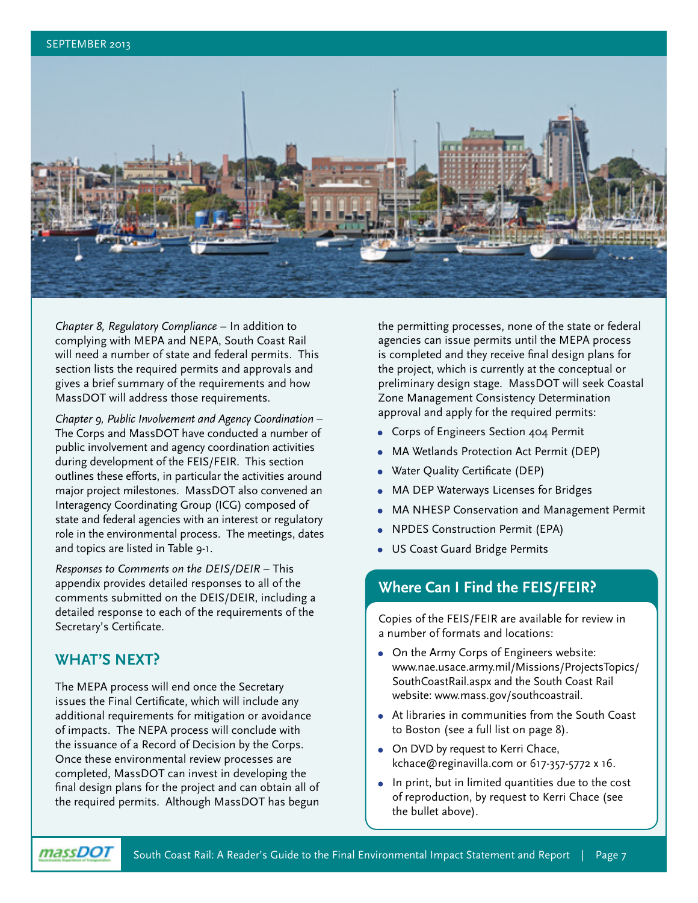

*Chapter 8, Regulatory Compliance* – In addition to complying with MEPA and NEPA, South Coast Rail will need a number of state and federal permits. This section lists the required permits and approvals and gives a brief summary of the requirements and how MassDOT will address those requirements.

*Chapter 9, Public Involvement and Agency Coordination* – The Corps and MassDOT have conducted a number of public involvement and agency coordination activities during development of the FEIS/FEIR. This section outlines these efforts, in particular the activities around major project milestones. MassDOT also convened an Interagency Coordinating Group (ICG) composed of state and federal agencies with an interest or regulatory role in the environmental process. The meetings, dates and topics are listed in Table 9-1.

*Responses to Comments on the DEIS/DEIR* – This appendix provides detailed responses to all of the comments submitted on the DEIS/DEIR, including a detailed response to each of the requirements of the Secretary's Certificate.

#### **WHAT'S NEXT?**

The MEPA process will end once the Secretary issues the Final Certificate, which will include any additional requirements for mitigation or avoidance of impacts. The NEPA process will conclude with the issuance of a Record of Decision by the Corps. Once these environmental review processes are completed, MassDOT can invest in developing the final design plans for the project and can obtain all of the required permits. Although MassDOT has begun

the permitting processes, none of the state or federal agencies can issue permits until the MEPA process is completed and they receive final design plans for the project, which is currently at the conceptual or preliminary design stage. MassDOT will seek Coastal Zone Management Consistency Determination approval and apply for the required permits:

- **•** Corps of Engineers Section 404 Permit
- **•** MA Wetlands Protection Act Permit (DEP)
- **•** Water Quality Certificate (DEP)
- **•** MA DEP Waterways Licenses for Bridges
- **•** MA NHESP Conservation and Management Permit
- **•** NPDES Construction Permit (EPA)
- **•** US Coast Guard Bridge Permits

#### **Where Can I Find the FEIS/FEIR?**

Copies of the FEIS/FEIR are available for review in a number of formats and locations:

- **•** On the Army Corps of Engineers website: [www.nae.usace.army.mil/Missions/ProjectsTopics/](www.nae.usace.army.mil/Missions/ProjectsTopics/SouthCoastRail.aspx) [SouthCoastRail.aspx](www.nae.usace.army.mil/Missions/ProjectsTopics/SouthCoastRail.aspx) and the South Coast Rail website: www.mass.gov/southcoastrail.
- **•** At libraries in communities from the South Coast to Boston (see a full list on page 8).
- **•** On DVD by request to Kerri Chace, kchace@reginavilla.com or 617-357-5772 x 16.
- **•** In print, but in limited quantities due to the cost of reproduction, by request to Kerri Chace (see the bullet above).